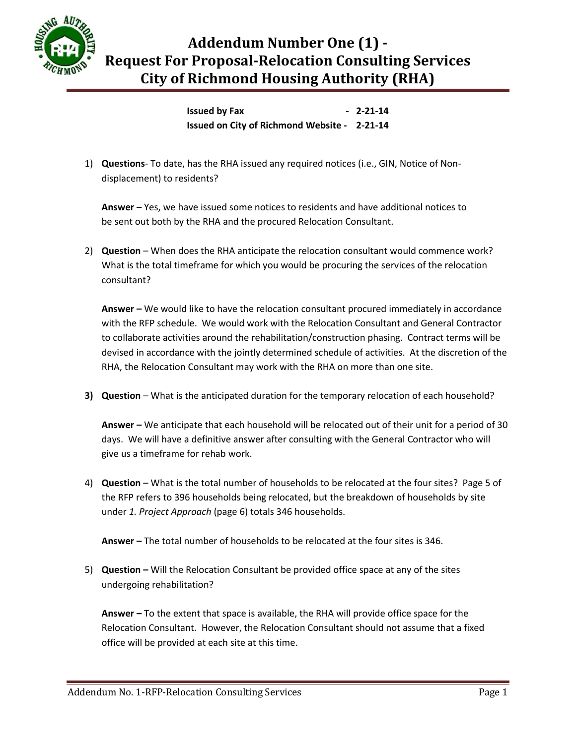

## **Addendum Number One (1) - Request For Proposal-Relocation Consulting Services City of Richmond Housing Authority (RHA)**

**Issued by Fax 4.12-21-14 Issued on City of Richmond Website - 2-21-14**

1) **Questions**- To date, has the RHA issued any required notices (i.e., GIN, Notice of Nondisplacement) to residents?

**Answer** – Yes, we have issued some notices to residents and have additional notices to be sent out both by the RHA and the procured Relocation Consultant.

2) **Question** – When does the RHA anticipate the relocation consultant would commence work? What is the total timeframe for which you would be procuring the services of the relocation consultant?

**Answer –** We would like to have the relocation consultant procured immediately in accordance with the RFP schedule. We would work with the Relocation Consultant and General Contractor to collaborate activities around the rehabilitation/construction phasing. Contract terms will be devised in accordance with the jointly determined schedule of activities. At the discretion of the RHA, the Relocation Consultant may work with the RHA on more than one site.

**3) Question** – What is the anticipated duration for the temporary relocation of each household?

**Answer –** We anticipate that each household will be relocated out of their unit for a period of 30 days. We will have a definitive answer after consulting with the General Contractor who will give us a timeframe for rehab work.

4) **Question** – What is the total number of households to be relocated at the four sites? Page 5 of the RFP refers to 396 households being relocated, but the breakdown of households by site under *1. Project Approach* (page 6) totals 346 households.

**Answer –** The total number of households to be relocated at the four sites is 346.

5) **Question –** Will the Relocation Consultant be provided office space at any of the sites undergoing rehabilitation?

**Answer –** To the extent that space is available, the RHA will provide office space for the Relocation Consultant. However, the Relocation Consultant should not assume that a fixed office will be provided at each site at this time.